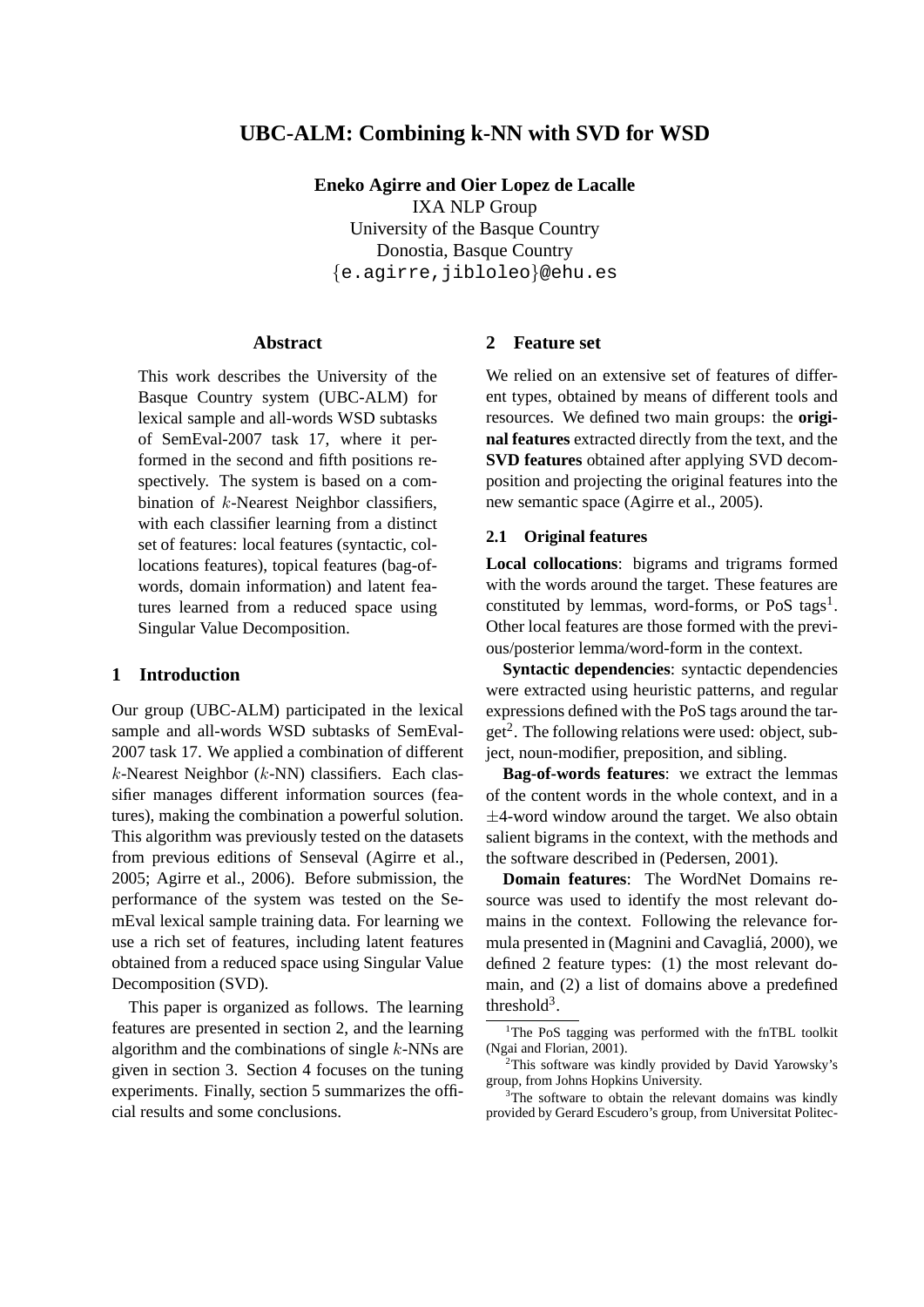# **UBC-ALM: Combining k-NN with SVD for WSD**

**Eneko Agirre and Oier Lopez de Lacalle** IXA NLP Group University of the Basque Country Donostia, Basque Country {e.agirre,jibloleo}@ehu.es

#### **Abstract**

This work describes the University of the Basque Country system (UBC-ALM) for lexical sample and all-words WSD subtasks of SemEval-2007 task 17, where it performed in the second and fifth positions respectively. The system is based on a combination of k-Nearest Neighbor classifiers, with each classifier learning from a distinct set of features: local features (syntactic, collocations features), topical features (bag-ofwords, domain information) and latent features learned from a reduced space using Singular Value Decomposition.

#### **1 Introduction**

Our group (UBC-ALM) participated in the lexical sample and all-words WSD subtasks of SemEval-2007 task 17. We applied a combination of different  $k$ -Nearest Neighbor ( $k$ -NN) classifiers. Each classifier manages different information sources (features), making the combination a powerful solution. This algorithm was previously tested on the datasets from previous editions of Senseval (Agirre et al., 2005; Agirre et al., 2006). Before submission, the performance of the system was tested on the SemEval lexical sample training data. For learning we use a rich set of features, including latent features obtained from a reduced space using Singular Value Decomposition (SVD).

This paper is organized as follows. The learning features are presented in section 2, and the learning algorithm and the combinations of single  $k$ -NNs are given in section 3. Section 4 focuses on the tuning experiments. Finally, section 5 summarizes the official results and some conclusions.

#### **2 Feature set**

We relied on an extensive set of features of different types, obtained by means of different tools and resources. We defined two main groups: the **original features** extracted directly from the text, and the **SVD features** obtained after applying SVD decomposition and projecting the original features into the new semantic space (Agirre et al., 2005).

### **2.1 Original features**

**Local collocations**: bigrams and trigrams formed with the words around the target. These features are constituted by lemmas, word-forms, or PoS tags<sup>1</sup>. Other local features are those formed with the previous/posterior lemma/word-form in the context.

**Syntactic dependencies**: syntactic dependencies were extracted using heuristic patterns, and regular expressions defined with the PoS tags around the target<sup>2</sup>. The following relations were used: object, subject, noun-modifier, preposition, and sibling.

**Bag-of-words features**: we extract the lemmas of the content words in the whole context, and in a  $\pm$ 4-word window around the target. We also obtain salient bigrams in the context, with the methods and the software described in (Pedersen, 2001).

**Domain features**: The WordNet Domains resource was used to identify the most relevant domains in the context. Following the relevance formula presented in (Magnini and Cavaglia, 2000), we ´ defined 2 feature types: (1) the most relevant domain, and (2) a list of domains above a predefined threshold $3$ .

<sup>&</sup>lt;sup>1</sup>The PoS tagging was performed with the fnTBL toolkit (Ngai and Florian, 2001).

<sup>&</sup>lt;sup>2</sup>This software was kindly provided by David Yarowsky's group, from Johns Hopkins University.

 $3$ The software to obtain the relevant domains was kindly provided by Gerard Escudero's group, from Universitat Politec-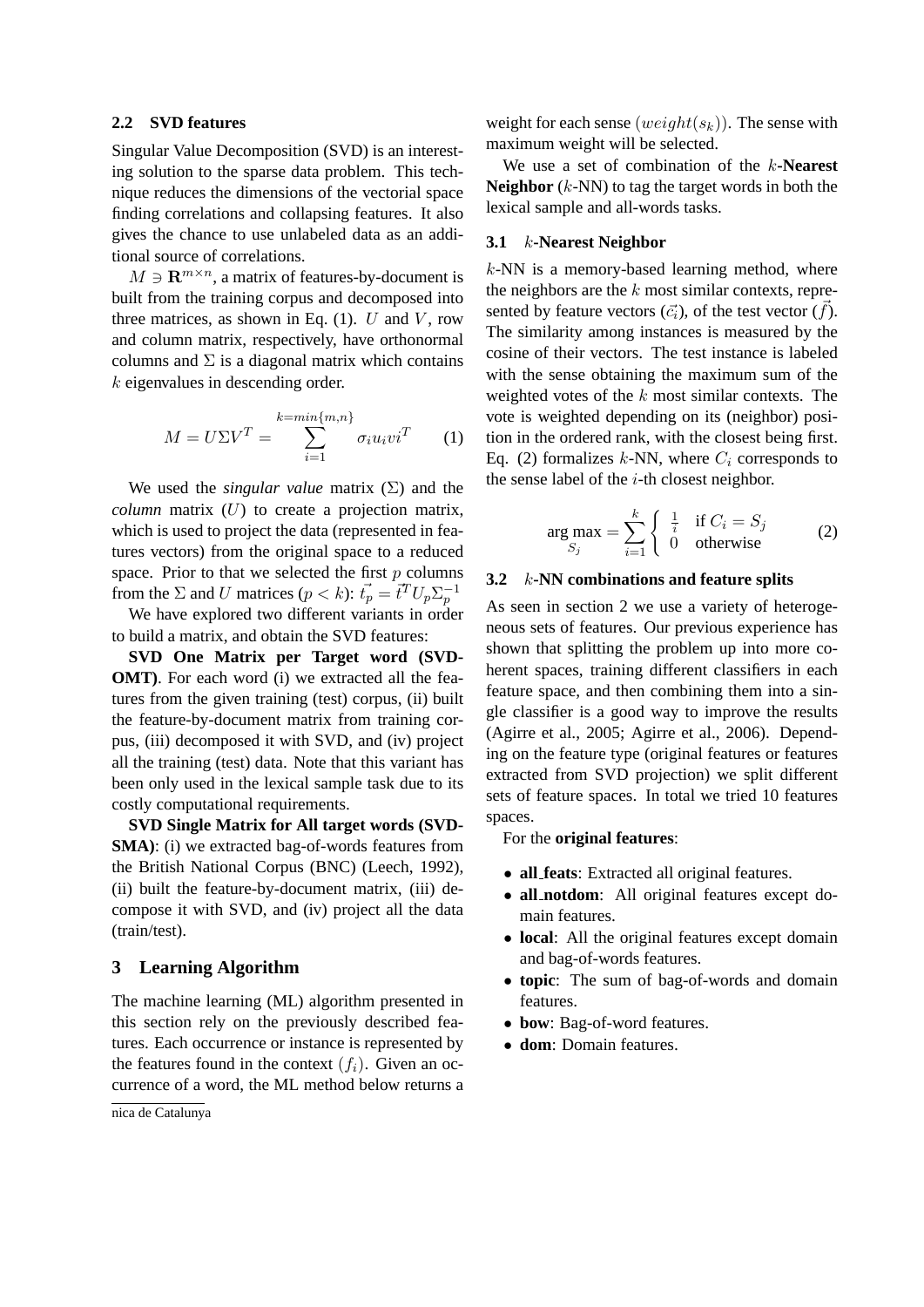### **2.2 SVD features**

Singular Value Decomposition (SVD) is an interesting solution to the sparse data problem. This technique reduces the dimensions of the vectorial space finding correlations and collapsing features. It also gives the chance to use unlabeled data as an additional source of correlations.

 $M \ni \mathbf{R}^{m \times n}$ , a matrix of features-by-document is built from the training corpus and decomposed into three matrices, as shown in Eq.  $(1)$ . U and V, row and column matrix, respectively, have orthonormal columns and  $\Sigma$  is a diagonal matrix which contains k eigenvalues in descending order.

$$
M = U\Sigma V^T = \sum_{i=1}^{k=\min\{m,n\}} \sigma_i u_i v i^T \qquad (1)
$$

We used the *singular value* matrix  $(\Sigma)$  and the *column* matrix  $(U)$  to create a projection matrix, which is used to project the data (represented in features vectors) from the original space to a reduced space. Prior to that we selected the first  $p$  columns from the  $\Sigma$  and U matrices  $(p < k)$ :  $\vec{t_p} = \vec{t}^T U_p \Sigma_p^{-1}$ 

We have explored two different variants in order to build a matrix, and obtain the SVD features:

**SVD One Matrix per Target word (SVD-OMT**). For each word (i) we extracted all the features from the given training (test) corpus, (ii) built the feature-by-document matrix from training corpus, (iii) decomposed it with SVD, and (iv) project all the training (test) data. Note that this variant has been only used in the lexical sample task due to its costly computational requirements.

**SVD Single Matrix for All target words (SVD-SMA**): (i) we extracted bag-of-words features from the British National Corpus (BNC) (Leech, 1992), (ii) built the feature-by-document matrix, (iii) decompose it with SVD, and (iv) project all the data (train/test).

### **3 Learning Algorithm**

The machine learning (ML) algorithm presented in this section rely on the previously described features. Each occurrence or instance is represented by the features found in the context  $(f_i)$ . Given an occurrence of a word, the ML method below returns a

nica de Catalunya

weight for each sense (weight( $s_k$ )). The sense with maximum weight will be selected.

We use a set of combination of the k**-Nearest Neighbor** (k-NN) to tag the target words in both the lexical sample and all-words tasks.

#### **3.1** k**-Nearest Neighbor**

 $k$ -NN is a memory-based learning method, where the neighbors are the  $k$  most similar contexts, represented by feature vectors  $(\vec{c}_i)$ , of the test vector  $(f)$ . The similarity among instances is measured by the cosine of their vectors. The test instance is labeled with the sense obtaining the maximum sum of the weighted votes of the  $k$  most similar contexts. The vote is weighted depending on its (neighbor) position in the ordered rank, with the closest being first. Eq. (2) formalizes k-NN, where  $C_i$  corresponds to the sense label of the  $i$ -th closest neighbor.

$$
\arg \max_{S_j} = \sum_{i=1}^k \begin{cases} \frac{1}{i} & \text{if } C_i = S_j \\ 0 & \text{otherwise} \end{cases}
$$
 (2)

### **3.2** k**-NN combinations and feature splits**

As seen in section 2 we use a variety of heterogeneous sets of features. Our previous experience has shown that splitting the problem up into more coherent spaces, training different classifiers in each feature space, and then combining them into a single classifier is a good way to improve the results (Agirre et al., 2005; Agirre et al., 2006). Depending on the feature type (original features or features extracted from SVD projection) we split different sets of feature spaces. In total we tried 10 features spaces.

For the **original features**:

- **all feats**: Extracted all original features.
- **all notdom**: All original features except domain features.
- **local**: All the original features except domain and bag-of-words features.
- **topic**: The sum of bag-of-words and domain features.
- **bow**: Bag-of-word features.
- **dom**: Domain features.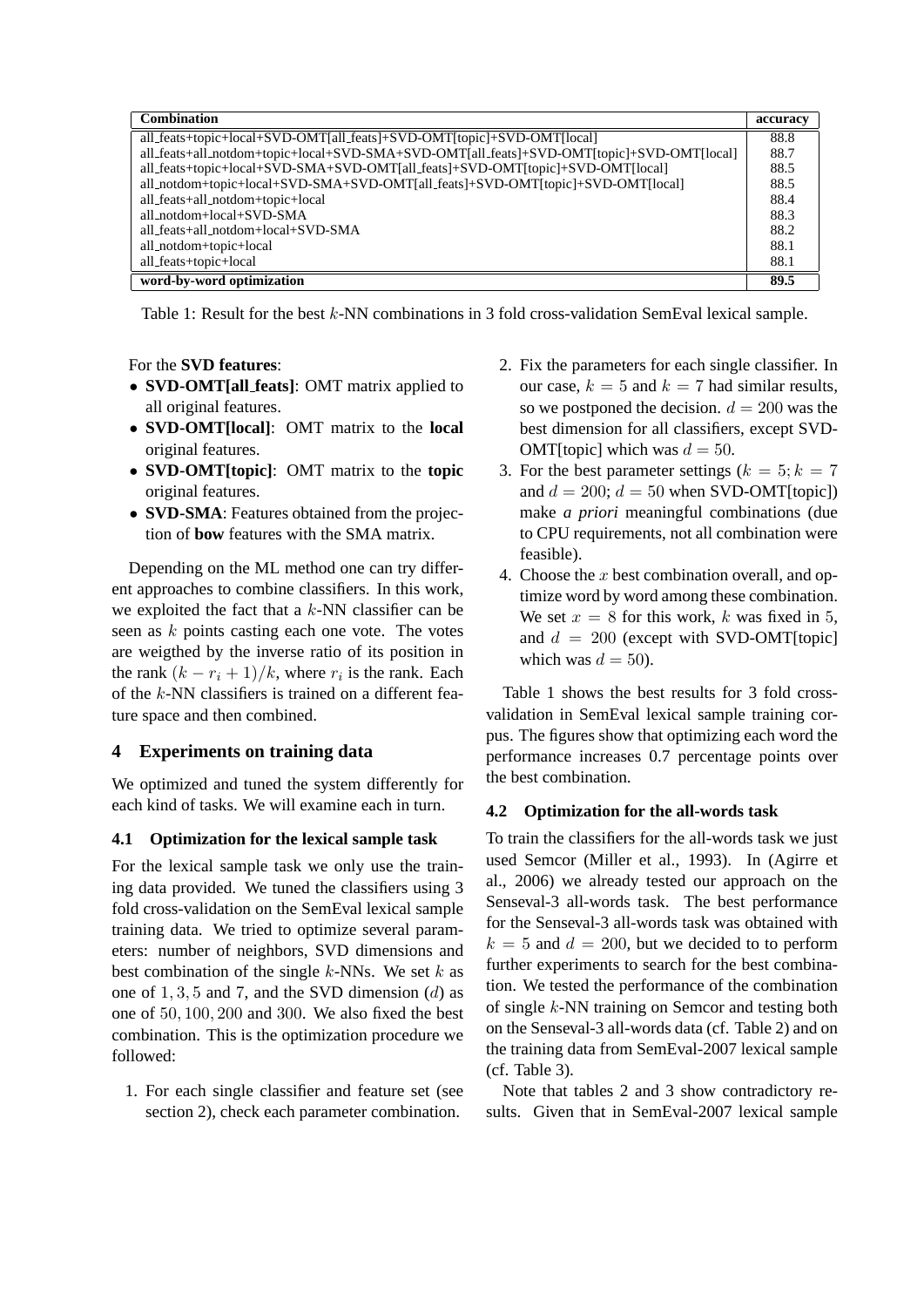| <b>Combination</b>                                                                        | accuracy |
|-------------------------------------------------------------------------------------------|----------|
| all_feats+topic+local+SVD-OMT[all_feats]+SVD-OMT[topic]+SVD-OMT[local]                    | 88.8     |
| all_feats+all_notdom+topic+local+SVD-SMA+SVD-OMT[all_feats]+SVD-OMT[topic]+SVD-OMT[local] | 88.7     |
| all_feats+topic+local+SVD-SMA+SVD-OMT[all_feats]+SVD-OMT[topic]+SVD-OMT[local]            | 88.5     |
| all_notdom+topic+local+SVD-SMA+SVD-OMT[all_feats]+SVD-OMT[topic]+SVD-OMT[local]           | 88.5     |
| all_feats+all_notdom+topic+local                                                          | 88.4     |
| all_notdom+local+SVD-SMA                                                                  | 88.3     |
| all feats+all notdom+local+SVD-SMA                                                        | 88.2     |
| all_notdom+topic+local                                                                    | 88.1     |
| all_feats+topic+local                                                                     | 88.1     |
| word-by-word optimization                                                                 | 89.5     |

Table 1: Result for the best k-NN combinations in 3 fold cross-validation SemEval lexical sample.

## For the **SVD features**:

- **SVD-OMT[all feats]**: OMT matrix applied to all original features.
- **SVD-OMT[local]**: OMT matrix to the **local** original features.
- **SVD-OMT[topic]**: OMT matrix to the **topic** original features.
- **SVD-SMA**: Features obtained from the projection of **bow** features with the SMA matrix.

Depending on the ML method one can try different approaches to combine classifiers. In this work, we exploited the fact that a  $k$ -NN classifier can be seen as k points casting each one vote. The votes are weigthed by the inverse ratio of its position in the rank  $(k - r_i + 1)/k$ , where  $r_i$  is the rank. Each of the  $k$ -NN classifiers is trained on a different feature space and then combined.

# **4 Experiments on training data**

We optimized and tuned the system differently for each kind of tasks. We will examine each in turn.

## **4.1 Optimization for the lexical sample task**

For the lexical sample task we only use the training data provided. We tuned the classifiers using 3 fold cross-validation on the SemEval lexical sample training data. We tried to optimize several parameters: number of neighbors, SVD dimensions and best combination of the single  $k$ -NNs. We set  $k$  as one of  $1, 3, 5$  and 7, and the SVD dimension  $(d)$  as one of 50, 100, 200 and 300. We also fixed the best combination. This is the optimization procedure we followed:

1. For each single classifier and feature set (see section 2), check each parameter combination.

- 2. Fix the parameters for each single classifier. In our case,  $k = 5$  and  $k = 7$  had similar results, so we postponed the decision.  $d = 200$  was the best dimension for all classifiers, except SVD-OMT[topic] which was  $d = 50$ .
- 3. For the best parameter settings ( $k = 5$ ;  $k = 7$ ) and  $d = 200$ ;  $d = 50$  when SVD-OMT[topic]) make *a priori* meaningful combinations (due to CPU requirements, not all combination were feasible).
- 4. Choose the  $x$  best combination overall, and optimize word by word among these combination. We set  $x = 8$  for this work, k was fixed in 5, and  $d = 200$  (except with SVD-OMT[topic] which was  $d = 50$ ).

Table 1 shows the best results for 3 fold crossvalidation in SemEval lexical sample training corpus. The figures show that optimizing each word the performance increases 0.7 percentage points over the best combination.

## **4.2 Optimization for the all-words task**

To train the classifiers for the all-words task we just used Semcor (Miller et al., 1993). In (Agirre et al., 2006) we already tested our approach on the Senseval-3 all-words task. The best performance for the Senseval-3 all-words task was obtained with  $k = 5$  and  $d = 200$ , but we decided to to perform further experiments to search for the best combination. We tested the performance of the combination of single k-NN training on Semcor and testing both on the Senseval-3 all-words data (cf. Table 2) and on the training data from SemEval-2007 lexical sample (cf. Table 3).

Note that tables 2 and 3 show contradictory results. Given that in SemEval-2007 lexical sample